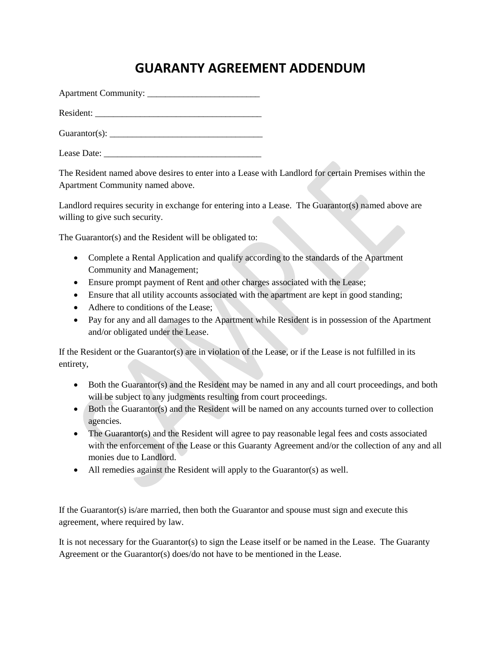## **GUARANTY AGREEMENT ADDENDUM**

Apartment Community: \_\_\_\_\_\_\_\_\_\_\_\_\_\_\_\_\_\_\_\_\_\_\_\_\_

Resident:

 $\text{Guarantor}(s)$ :

Lease Date:

The Resident named above desires to enter into a Lease with Landlord for certain Premises within the Apartment Community named above.

Landlord requires security in exchange for entering into a Lease. The Guarantor(s) named above are willing to give such security.

The Guarantor(s) and the Resident will be obligated to:

- Complete a Rental Application and qualify according to the standards of the Apartment Community and Management;
- Ensure prompt payment of Rent and other charges associated with the Lease;
- Ensure that all utility accounts associated with the apartment are kept in good standing;
- Adhere to conditions of the Lease:
- Pay for any and all damages to the Apartment while Resident is in possession of the Apartment and/or obligated under the Lease.

If the Resident or the Guarantor(s) are in violation of the Lease, or if the Lease is not fulfilled in its entirety,

- Both the Guarantor(s) and the Resident may be named in any and all court proceedings, and both will be subject to any judgments resulting from court proceedings.
- Both the Guarantor(s) and the Resident will be named on any accounts turned over to collection agencies.
- The Guarantor(s) and the Resident will agree to pay reasonable legal fees and costs associated with the enforcement of the Lease or this Guaranty Agreement and/or the collection of any and all monies due to Landlord.
- All remedies against the Resident will apply to the Guarantor(s) as well.

If the Guarantor(s) is/are married, then both the Guarantor and spouse must sign and execute this agreement, where required by law.

It is not necessary for the Guarantor(s) to sign the Lease itself or be named in the Lease. The Guaranty Agreement or the Guarantor(s) does/do not have to be mentioned in the Lease.